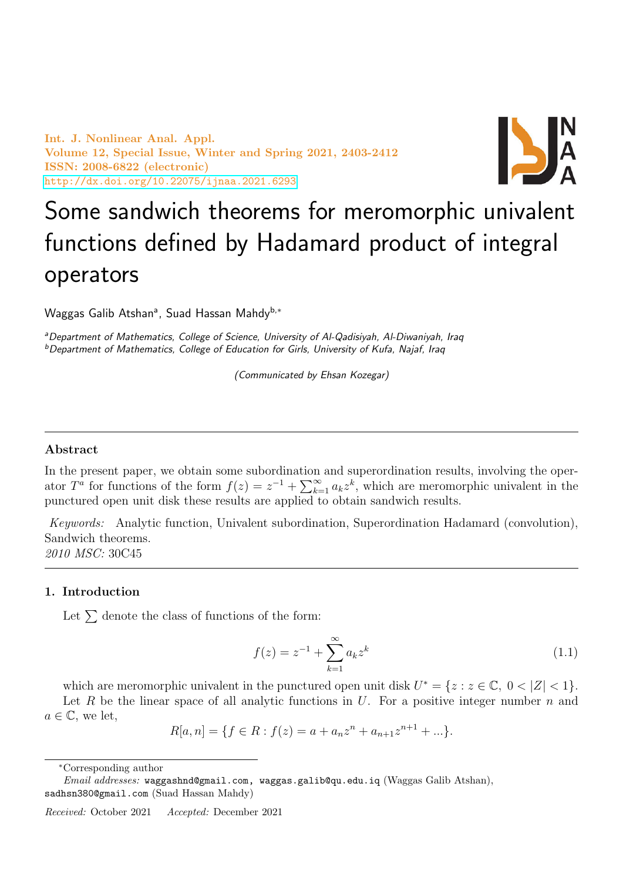Int. J. Nonlinear Anal. Appl. Volume 12, Special Issue, Winter and Spring 2021, 2403-2412 ISSN: 2008-6822 (electronic) <http://dx.doi.org/10.22075/ijnaa.2021.6293>



# Some sandwich theorems for meromorphic univalent functions defined by Hadamard product of integral operators

Waggas Galib Atshanª, Suad Hassan Mahdy<sup>b,∗</sup>

aDepartment of Mathematics, College of Science, University of Al-Qadisiyah, Al-Diwaniyah, Iraq <sup>b</sup>Department of Mathematics, College of Education for Girls, University of Kufa, Najaf, Iraq

(Communicated by Ehsan Kozegar)

## Abstract

In the present paper, we obtain some subordination and superordination results, involving the operator  $T^{\tilde{a}}$  for functions of the form  $f(z) = z^{-1} + \sum_{k=1}^{\infty} a_k z^k$ , which are meromorphic univalent in the punctured open unit disk these results are applied to obtain sandwich results.

Keywords: Analytic function, Univalent subordination, Superordination Hadamard (convolution), Sandwich theorems. 2010 MSC: 30C45

### 1. Introduction

Let  $\Sigma$  denote the class of functions of the form:

<span id="page-0-0"></span>
$$
f(z) = z^{-1} + \sum_{k=1}^{\infty} a_k z^k
$$
 (1.1)

which are meromorphic univalent in the punctured open unit disk  $U^* = \{z : z \in \mathbb{C}, 0 < |Z| < 1\}.$ Let R be the linear space of all analytic functions in U. For a positive integer number  $n$  and

 $a \in \mathbb{C}$ , we let,

$$
R[a, n] = \{ f \in R : f(z) = a + a_n z^n + a_{n+1} z^{n+1} + \dots \}.
$$

<sup>∗</sup>Corresponding author

Email addresses: waggashnd@gmail.com, waggas.galib@qu.edu.iq (Waggas Galib Atshan), sadhsn380@gmail.com (Suad Hassan Mahdy)

Received: October 2021 Accepted: December 2021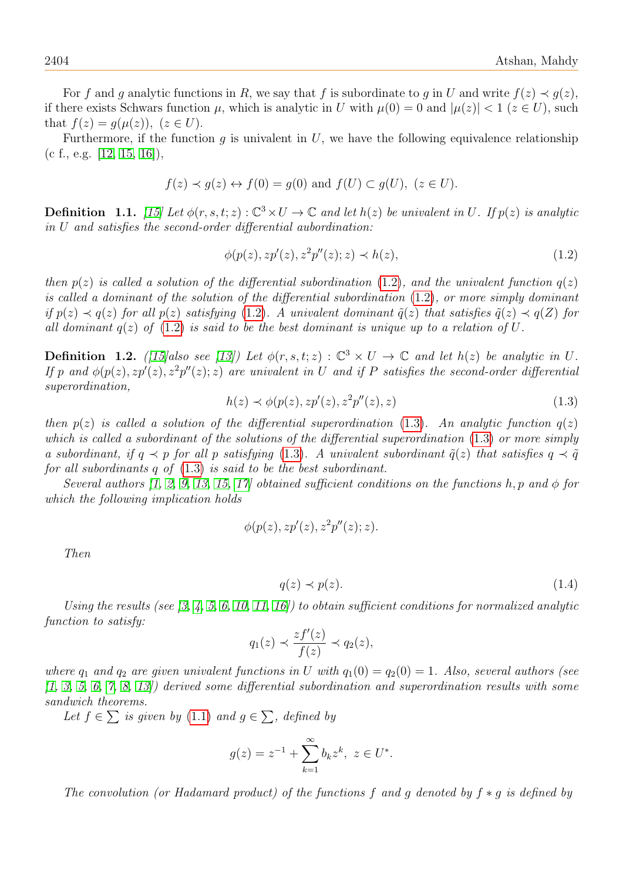For f and g analytic functions in R, we say that f is subordinate to g in U and write  $f(z) \prec g(z)$ , if there exists Schwars function  $\mu$ , which is analytic in U with  $\mu(0) = 0$  and  $|\mu(z)| < 1$  ( $z \in U$ ), such that  $f(z) = q(\mu(z))$ ,  $(z \in U)$ .

Furthermore, if the function  $g$  is univalent in  $U$ , we have the following equivalence relationship  $(c f., e.g. [12, 15, 16]),$  $(c f., e.g. [12, 15, 16]),$  $(c f., e.g. [12, 15, 16]),$  $(c f., e.g. [12, 15, 16]),$  $(c f., e.g. [12, 15, 16]),$ 

$$
f(z) \prec g(z) \leftrightarrow f(0) = g(0)
$$
 and  $f(U) \subset g(U)$ ,  $(z \in U)$ .

**Definition** 1.1. [\[15\]](#page-9-1) Let  $\phi(r, s, t; z) : \mathbb{C}^3 \times U \to \mathbb{C}$  and let  $h(z)$  be univalent in U. If  $p(z)$  is analytic in U and satisfies the second-order differential aubordination:

<span id="page-1-0"></span>
$$
\phi(p(z), z p'(z), z^2 p''(z); z) \prec h(z), \tag{1.2}
$$

then  $p(z)$  is called a solution of the differential subordination [\(1.2\)](#page-1-0), and the univalent function  $q(z)$ is called a dominant of the solution of the differential subordination [\(1.2\)](#page-1-0), or more simply dominant if  $p(z) \prec q(z)$  for all  $p(z)$  satisfying [\(1.2\)](#page-1-0). A univalent dominant  $\tilde{q}(z)$  that satisfies  $\tilde{q}(z) \prec q(Z)$  for all dominant  $q(z)$  of  $(1.2)$  is said to be the best dominant is unique up to a relation of U.

**Definition 1.2.** ([\[15\]](#page-9-1)also see [\[13\]](#page-9-3)) Let  $\phi(r, s, t; z) : \mathbb{C}^3 \times U \to \mathbb{C}$  and let  $h(z)$  be analytic in U. If p and  $\phi(p(z), zp'(z), z^2p''(z); z)$  are univalent in U and if P satisfies the second-order differential superordination,

<span id="page-1-1"></span>
$$
h(z) \prec \phi(p(z), z p'(z), z^2 p''(z), z) \tag{1.3}
$$

then  $p(z)$  is called a solution of the differential superordination [\(1.3\)](#page-1-1). An analytic function  $q(z)$ which is called a subordinant of the solutions of the differential superordination [\(1.3\)](#page-1-1) or more simply a subordinant, if  $q \prec p$  for all p satisfying [\(1.3\)](#page-1-1). A univalent subordinant  $\tilde{q}(z)$  that satisfies  $q \prec \tilde{q}$ for all subordinants q of  $(1.3)$  is said to be the best subordinant.

Several authors [\[1,](#page-9-4) [2,](#page-9-5) [9,](#page-9-6) [13,](#page-9-3) [15,](#page-9-1) [17\]](#page-9-7) obtained sufficient conditions on the functions h, p and  $\phi$  for which the following implication holds

$$
\phi(p(z), z p'(z), z^2 p''(z); z).
$$

Then

$$
q(z) \prec p(z). \tag{1.4}
$$

Using the results (see  $[3, 4, 5, 6, 10, 11, 16]$  $[3, 4, 5, 6, 10, 11, 16]$  $[3, 4, 5, 6, 10, 11, 16]$  $[3, 4, 5, 6, 10, 11, 16]$  $[3, 4, 5, 6, 10, 11, 16]$  $[3, 4, 5, 6, 10, 11, 16]$  $[3, 4, 5, 6, 10, 11, 16]$ ) to obtain sufficient conditions for normalized analytic function to satisfy:

$$
q_1(z) \prec \frac{zf'(z)}{f(z)} \prec q_2(z),
$$

where  $q_1$  and  $q_2$  are given univalent functions in U with  $q_1(0) = q_2(0) = 1$ . Also, several authors (see  $(1, 3, 5, 6, 7, 8, 13)$  $(1, 3, 5, 6, 7, 8, 13)$  $(1, 3, 5, 6, 7, 8, 13)$  $(1, 3, 5, 6, 7, 8, 13)$  $(1, 3, 5, 6, 7, 8, 13)$  $(1, 3, 5, 6, 7, 8, 13)$  $(1, 3, 5, 6, 7, 8, 13)$  derived some differential subordination and superordination results with some sandwich theorems.

Let  $f \in \sum$  is given by [\(1.1\)](#page-0-0) and  $g \in \sum$ , defined by

$$
g(z) = z^{-1} + \sum_{k=1}^{\infty} b_k z^k, \ z \in U^*.
$$

The convolution (or Hadamard product) of the functions f and q denoted by  $f * q$  is defined by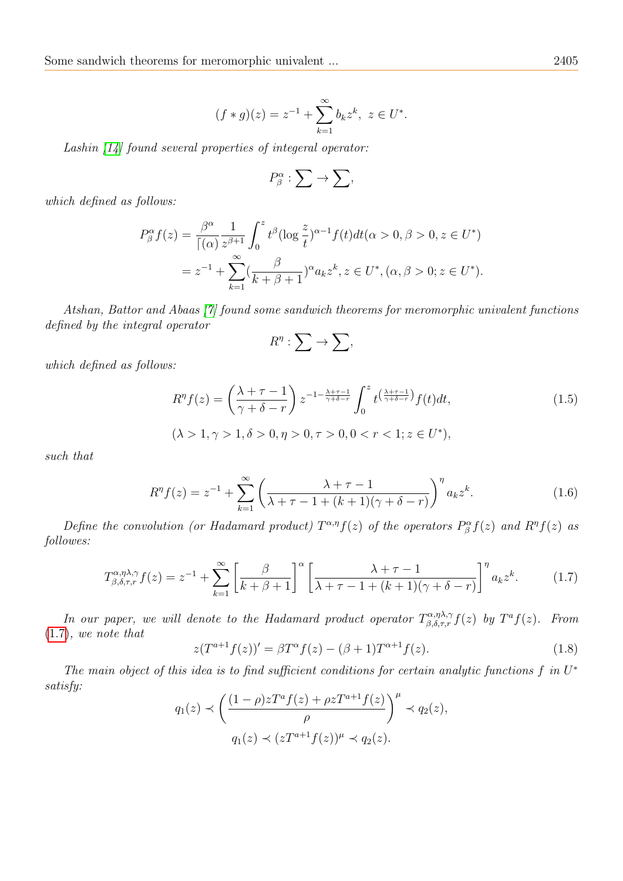$$
(f * g)(z) = z^{-1} + \sum_{k=1}^{\infty} b_k z^k, \ z \in U^*.
$$

Lashin [\[14\]](#page-9-16) found several properties of integeral operator:

$$
P_{\beta}^{\alpha}:\sum\rightarrow\sum,
$$

which defined as follows:

$$
P_{\beta}^{\alpha} f(z) = \frac{\beta^{\alpha}}{\lceil(\alpha) z^{\beta+1} \rceil} \int_0^z t^{\beta} (\log \frac{z}{t})^{\alpha-1} f(t) dt(\alpha > 0, \beta > 0, z \in U^*)
$$
  
=  $z^{-1} + \sum_{k=1}^{\infty} (\frac{\beta}{k + \beta + 1})^{\alpha} a_k z^k, z \in U^*, (\alpha, \beta > 0; z \in U^*).$ 

Atshan, Battor and Abaas [\[7\]](#page-9-14) found some sandwich theorems for meromorphic univalent functions defined by the integral operator

$$
R^{\eta}:\sum\to\sum,
$$

which defined as follows:

$$
R^{\eta}f(z) = \left(\frac{\lambda + \tau - 1}{\gamma + \delta - r}\right) z^{-1 - \frac{\lambda + \tau - 1}{\gamma + \delta - r}} \int_0^z t^{\left(\frac{\lambda + \tau - 1}{\gamma + \delta - r}\right)} f(t) dt,
$$
\n
$$
(\lambda > 1, \gamma > 1, \delta > 0, \eta > 0, \tau > 0, 0 < r < 1; z \in U^*),
$$
\n
$$
(1.5)
$$

such that

$$
R^{\eta}f(z) = z^{-1} + \sum_{k=1}^{\infty} \left( \frac{\lambda + \tau - 1}{\lambda + \tau - 1 + (k+1)(\gamma + \delta - r)} \right)^{\eta} a_k z^k.
$$
 (1.6)

Define the convolution (or Hadamard product)  $T^{\alpha,\eta}f(z)$  of the operators  $P^{\alpha}_{\beta}f(z)$  and  $R^{\eta}f(z)$  as followes:

<span id="page-2-0"></span>
$$
T_{\beta,\delta,\tau,r}^{\alpha,\eta\lambda,\gamma}f(z) = z^{-1} + \sum_{k=1}^{\infty} \left[ \frac{\beta}{k+\beta+1} \right]^{\alpha} \left[ \frac{\lambda+\tau-1}{\lambda+\tau-1+(k+1)(\gamma+\delta-r)} \right]^{\eta} a_k z^k.
$$
 (1.7)

In our paper, we will denote to the Hadamard product operator  $T^{\alpha,\eta\lambda,\gamma}_{\beta,\delta,\tau,r}f(z)$  by  $T^af(z)$ . From [\(1.7\)](#page-2-0), we note that

<span id="page-2-1"></span>
$$
z(T^{a+1}f(z))' = \beta T^{\alpha}f(z) - (\beta + 1)T^{\alpha+1}f(z). \tag{1.8}
$$

The main object of this idea is to find sufficient conditions for certain analytic functions  $f$  in  $U^*$ satisfy:  $\sqrt{u}$ 

$$
q_1(z) \prec \left(\frac{(1-\rho)zT^a f(z) + \rho zT^{a+1}f(z)}{\rho}\right)^{\mu} \prec q_2(z),
$$
  

$$
q_1(z) \prec (zT^{a+1}f(z))^{\mu} \prec q_2(z).
$$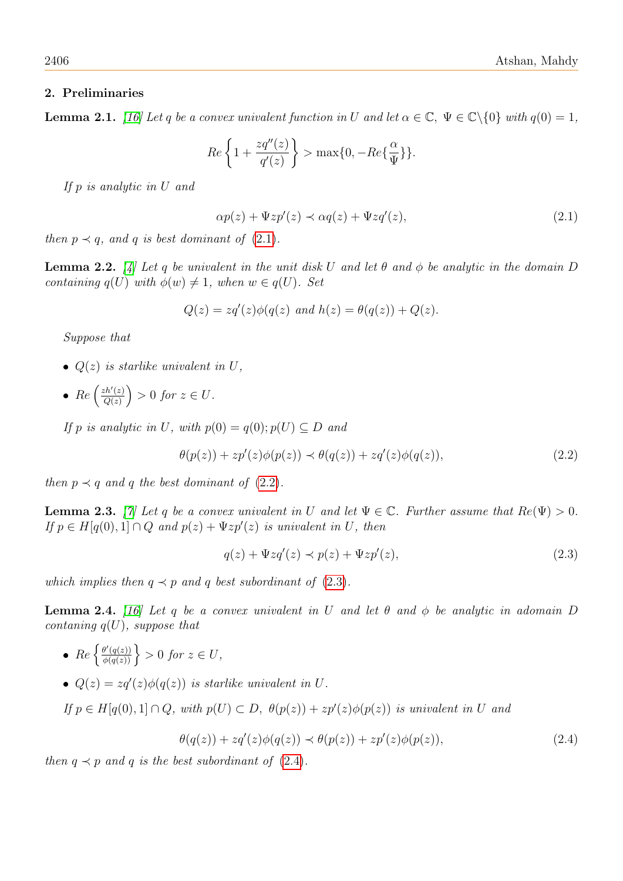# 2. Preliminaries

**Lemma 2.1.** [\[16\]](#page-9-2) Let q be a convex univalent function in U and let  $\alpha \in \mathbb{C}$ ,  $\Psi \in \mathbb{C}\backslash\{0\}$  with  $q(0) = 1$ ,

$$
Re\left\{1+\frac{zq''(z)}{q'(z)}\right\} > \max\{0, -Re\{\frac{\alpha}{\Psi}\}\}.
$$

If p is analytic in U and

<span id="page-3-0"></span>
$$
\alpha p(z) + \Psi z p'(z) \prec \alpha q(z) + \Psi z q'(z), \qquad (2.1)
$$

then  $p \prec q$ , and q is best dominant of  $(2.1)$ .

<span id="page-3-4"></span>**Lemma 2.2.** [\[4\]](#page-9-9) Let q be univalent in the unit disk U and let  $\theta$  and  $\phi$  be analytic in the domain D containing  $q(U)$  with  $\phi(w) \neq 1$ , when  $w \in q(U)$ . Set

$$
Q(z) = zq'(z)\phi(q(z) \text{ and } h(z) = \theta(q(z)) + Q(z).
$$

Suppose that

- $Q(z)$  is starlike univalent in U,
- $Re\left(\frac{zh'(z)}{O(z)}\right)$  $\left(\frac{ch'(z)}{Q(z)}\right) > 0$  for  $z \in U$ .

If p is analytic in U, with  $p(0) = q(0)$ ;  $p(U) \subseteq D$  and

<span id="page-3-1"></span>
$$
\theta(p(z)) + zp'(z)\phi(p(z)) \prec \theta(q(z)) + zq'(z)\phi(q(z)), \qquad (2.2)
$$

then  $p \prec q$  and q the best dominant of [\(2.2\)](#page-3-1).

<span id="page-3-6"></span>**Lemma 2.3.** [\[7\]](#page-9-14) Let q be a convex univalent in U and let  $\Psi \in \mathbb{C}$ . Further assume that  $Re(\Psi) > 0$ . If  $p \in H[q(0),1] \cap Q$  and  $p(z) + \Psi z p'(z)$  is univalent in U, then

<span id="page-3-2"></span>
$$
q(z) + \Psi z q'(z) \prec p(z) + \Psi z p'(z), \qquad (2.3)
$$

which implies then  $q \prec p$  and q best subordinant of [\(2.3\)](#page-3-2).

<span id="page-3-5"></span>**Lemma 2.4.** [\[16\]](#page-9-2) Let q be a convex univalent in U and let  $\theta$  and  $\phi$  be analytic in adomain D contaning  $q(U)$ , suppose that

- $\{ \frac{\theta'(q(z))}{\phi(q(z))} \} > 0$  for  $z \in U$ ,
- $Q(z) = zq'(z)\phi(q(z))$  is starlike univalent in U.

If  $p \in H[q(0),1] \cap Q$ , with  $p(U) \subset D$ ,  $\theta(p(z)) + zp'(z)\phi(p(z))$  is univalent in U and

<span id="page-3-3"></span>
$$
\theta(q(z)) + zq'(z)\phi(q(z)) \prec \theta(p(z)) + zp'(z)\phi(p(z)),\tag{2.4}
$$

then  $q \prec p$  and q is the best subordinant of [\(2.4\)](#page-3-3).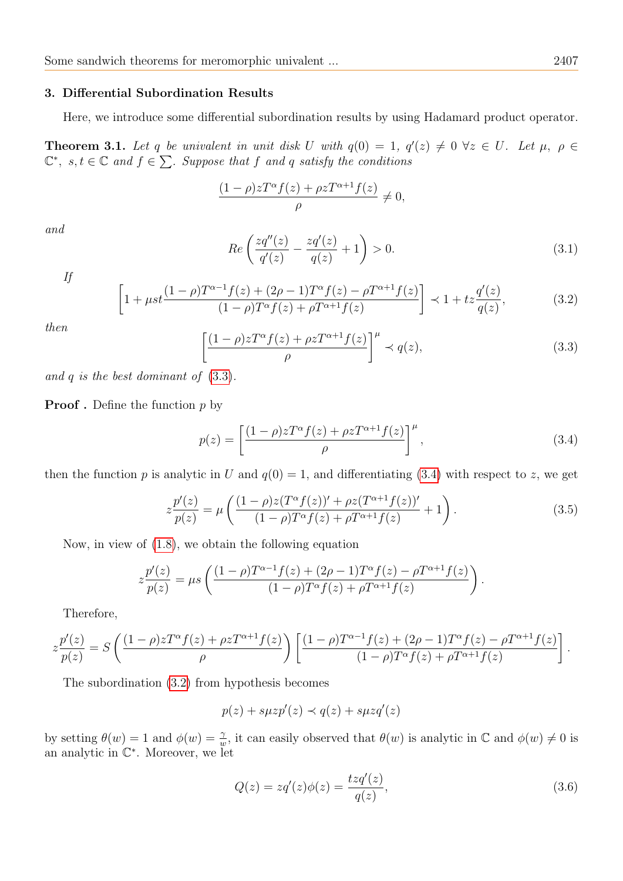#### 3. Differential Subordination Results

Here, we introduce some differential subordination results by using Hadamard product operator.

**Theorem 3.1.** Let q be univalent in unit disk U with  $q(0) = 1$ ,  $q'(z) \neq 0 \ \forall z \in U$ . Let  $\mu$ ,  $\rho \in$  $\mathbb{C}^*, s, t \in \mathbb{C}$  and  $f \in \sum$ . Suppose that f and q satisfy the conditions

$$
\frac{(1-\rho)zT^{\alpha}f(z)+\rho zT^{\alpha+1}f(z)}{\rho}\neq 0,
$$

and

<span id="page-4-3"></span>
$$
Re\left(\frac{zq''(z)}{q'(z)} - \frac{zq'(z)}{q(z)} + 1\right) > 0.
$$
\n(3.1)

If

<span id="page-4-2"></span>
$$
\left[1 + \mu st \frac{(1 - \rho)T^{\alpha - 1}f(z) + (2\rho - 1)T^{\alpha}f(z) - \rho T^{\alpha + 1}f(z)}{(1 - \rho)T^{\alpha}f(z) + \rho T^{\alpha + 1}f(z)}\right] \prec 1 + tz \frac{q'(z)}{q(z)},
$$
(3.2)

then

<span id="page-4-0"></span>
$$
\left[\frac{(1-\rho)zT^{\alpha}f(z)+\rho zT^{\alpha+1}f(z)}{\rho}\right]^{\mu} \prec q(z),\tag{3.3}
$$

and  $q$  is the best dominant of  $(3.3)$ .

**Proof** . Define the function  $p$  by

<span id="page-4-1"></span>
$$
p(z) = \left[\frac{(1-\rho)zT^{\alpha}f(z) + \rho zT^{\alpha+1}f(z)}{\rho}\right]^{\mu},\tag{3.4}
$$

then the function p is analytic in U and  $q(0) = 1$ , and differentiating [\(3.4\)](#page-4-1) with respect to z, we get

$$
z\frac{p'(z)}{p(z)} = \mu \left( \frac{(1-\rho)z(T^{\alpha}f(z))' + \rho z(T^{\alpha+1}f(z))'}{(1-\rho)T^{\alpha}f(z) + \rho T^{\alpha+1}f(z)} + 1 \right). \tag{3.5}
$$

Now, in view of [\(1.8\)](#page-2-1), we obtain the following equation

$$
z\frac{p'(z)}{p(z)} = \mu s \left( \frac{(1-\rho)T^{\alpha-1}f(z) + (2\rho - 1)T^{\alpha}f(z) - \rho T^{\alpha+1}f(z)}{(1-\rho)T^{\alpha}f(z) + \rho T^{\alpha+1}f(z)} \right).
$$

Therefore,

$$
z\frac{p'(z)}{p(z)} = S\left(\frac{(1-\rho)zT^{\alpha}f(z) + \rho zT^{\alpha+1}f(z)}{\rho}\right) \left[\frac{(1-\rho)T^{\alpha-1}f(z) + (2\rho - 1)T^{\alpha}f(z) - \rho T^{\alpha+1}f(z)}{(1-\rho)T^{\alpha}f(z) + \rho T^{\alpha+1}f(z)}\right].
$$

The subordination [\(3.2\)](#page-4-2) from hypothesis becomes

$$
p(z) + s\mu z p'(z) \prec q(z) + s\mu z q'(z)
$$

by setting  $\theta(w) = 1$  and  $\phi(w) = \frac{\gamma}{w}$ , it can easily observed that  $\theta(w)$  is analytic in  $\mathbb C$  and  $\phi(w) \neq 0$  is an analytic in C ∗ . Moreover, we let

$$
Q(z) = zq'(z)\phi(z) = \frac{tzq'(z)}{q(z)},
$$
\n(3.6)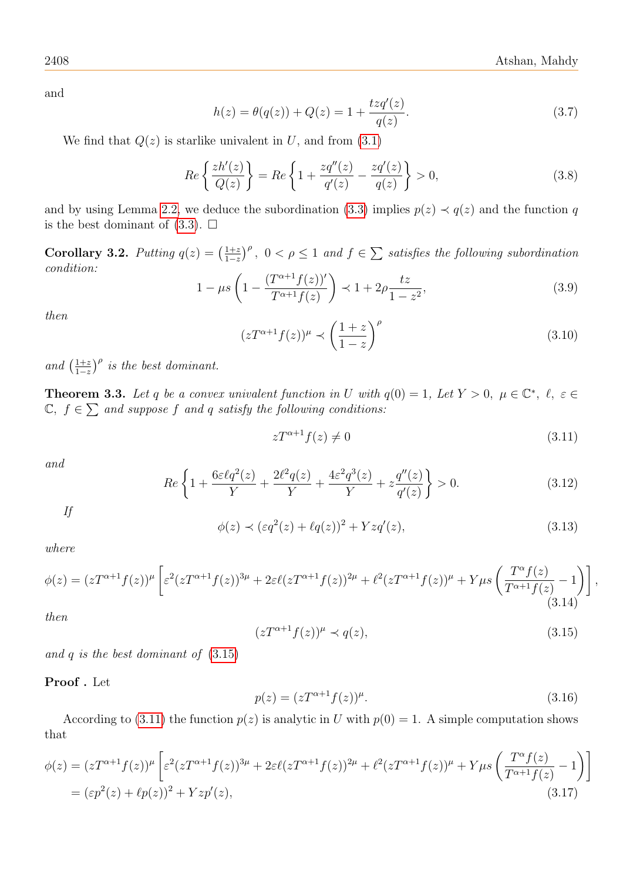and

$$
h(z) = \theta(q(z)) + Q(z) = 1 + \frac{tzq'(z)}{q(z)}.
$$
\n(3.7)

We find that  $Q(z)$  is starlike univalent in U, and from  $(3.1)$ 

$$
Re\left\{\frac{zh'(z)}{Q(z)}\right\} = Re\left\{1 + \frac{zq''(z)}{q'(z)} - \frac{zq'(z)}{q(z)}\right\} > 0,
$$
\n(3.8)

and by using Lemma [2.2,](#page-3-4) we deduce the subordination [\(3.3\)](#page-4-0) implies  $p(z) \prec q(z)$  and the function q is the best dominant of  $(3.3)$ .  $\square$ 

Corollary 3.2. Putting  $q(z) = \left(\frac{1+z}{1-z}\right)$  $\frac{1+z}{1-z}$ <sup> $\rho$ </sup>,  $0 < \rho \le 1$  and  $f \in \sum$  satisfies the following subordination condition:

$$
1 - \mu s \left( 1 - \frac{(T^{\alpha+1} f(z))'}{T^{\alpha+1} f(z)} \right) \prec 1 + 2\rho \frac{tz}{1 - z^2},\tag{3.9}
$$

then

$$
(zT^{\alpha+1}f(z))^{\mu} \prec \left(\frac{1+z}{1-z}\right)^{\rho}
$$
\n(3.10)

and  $\left(\frac{1+z}{1-z}\right)$  $\frac{1+z}{1-z}$ <sup> $\rho$ </sup> is the best dominant.

<span id="page-5-5"></span>**Theorem 3.3.** Let q be a convex univalent function in U with  $q(0) = 1$ , Let  $Y > 0$ ,  $\mu \in \mathbb{C}^*$ ,  $\ell$ ,  $\varepsilon \in \mathbb{C}$  $\mathbb{C}, f \in \sum$  and suppose f and q satisfy the following conditions:

<span id="page-5-1"></span>
$$
zT^{\alpha+1}f(z) \neq 0 \tag{3.11}
$$

and

<span id="page-5-2"></span>
$$
Re\left\{1+\frac{6\varepsilon\ell q^2(z)}{Y}+\frac{2\ell^2q(z)}{Y}+\frac{4\varepsilon^2q^3(z)}{Y}+z\frac{q''(z)}{q'(z)}\right\}>0.
$$
\n(3.12)

If

<span id="page-5-3"></span>
$$
\phi(z) \prec (\varepsilon q^2(z) + \ell q(z))^2 + Yzq'(z), \tag{3.13}
$$

where

<span id="page-5-4"></span>
$$
\phi(z) = (zT^{\alpha+1}f(z))^{\mu} \left[ \varepsilon^2 (zT^{\alpha+1}f(z))^{3\mu} + 2\varepsilon \ell (zT^{\alpha+1}f(z))^{2\mu} + \ell^2 (zT^{\alpha+1}f(z))^{\mu} + Y\mu s \left( \frac{T^{\alpha}f(z)}{T^{\alpha+1}f(z)} - 1 \right) \right],
$$
\n(3.14)

then

<span id="page-5-0"></span>
$$
(zT^{\alpha+1}f(z))^{\mu} \prec q(z), \tag{3.15}
$$

and  $q$  is the best dominant of  $(3.15)$ 

Proof . Let

$$
p(z) = (zT^{\alpha+1}f(z))^{\mu}.
$$
\n(3.16)

According to [\(3.11\)](#page-5-1) the function  $p(z)$  is analytic in U with  $p(0) = 1$ . A simple computation shows that

$$
\phi(z) = (zT^{\alpha+1}f(z))^{\mu} \left[ \varepsilon^{2} (zT^{\alpha+1}f(z))^{3\mu} + 2\varepsilon \ell (zT^{\alpha+1}f(z))^{2\mu} + \ell^{2} (zT^{\alpha+1}f(z))^{\mu} + Y\mu s \left( \frac{T^{\alpha}f(z)}{T^{\alpha+1}f(z)} - 1 \right) \right]
$$
  
=  $(\varepsilon p^{2}(z) + \ell p(z))^{2} + Yzp'(z),$  (3.17)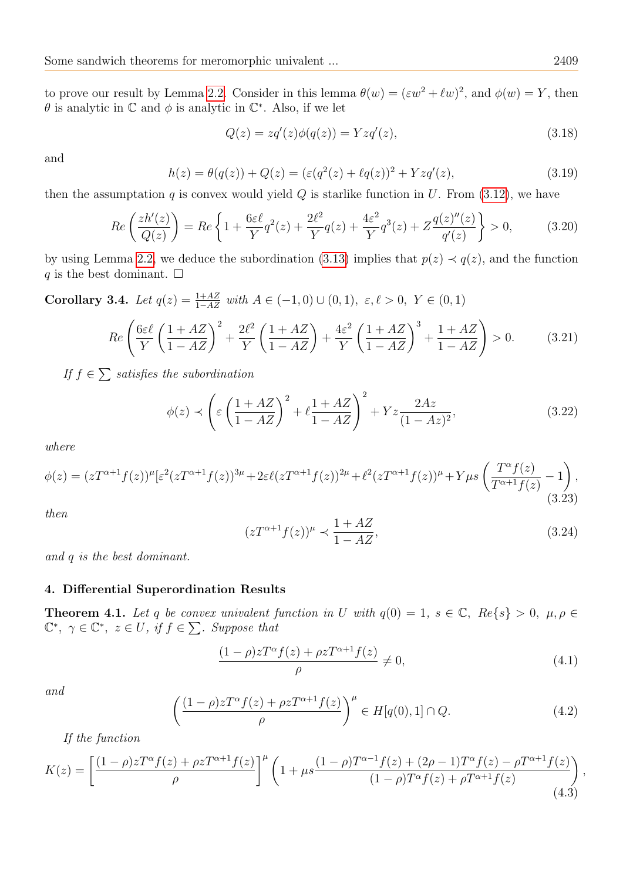to prove our result by Lemma [2.2.](#page-3-4) Consider in this lemma  $\theta(w) = (\varepsilon w^2 + \ell w)^2$ , and  $\phi(w) = Y$ , then  $\theta$  is analytic in  $\mathbb C$  and  $\phi$  is analytic in  $\mathbb C^*$ . Also, if we let

$$
Q(z) = zq'(z)\phi(q(z)) = Yzq'(z),
$$
\n(3.18)

and

$$
h(z) = \theta(q(z)) + Q(z) = (\varepsilon(q^2(z) + \ell q(z))^2 + Yzq'(z), \tag{3.19}
$$

then the assumptation q is convex would yield  $Q$  is starlike function in  $U$ . From [\(3.12\)](#page-5-2), we have

$$
Re\left(\frac{zh'(z)}{Q(z)}\right) = Re\left\{1 + \frac{6\epsilon\ell}{Y}q^2(z) + \frac{2\ell^2}{Y}q(z) + \frac{4\epsilon^2}{Y}q^3(z) + Z\frac{q(z)''(z)}{q'(z)}\right\} > 0,\tag{3.20}
$$

by using Lemma [2.2,](#page-3-4) we deduce the subordination [\(3.13\)](#page-5-3) implies that  $p(z) \prec q(z)$ , and the function q is the best dominant.  $\square$ 

Corollary 3.4. Let  $q(z) = \frac{1+AZ}{1-AZ}$  with  $A \in (-1,0) \cup (0,1)$ ,  $\varepsilon, \ell > 0$ ,  $Y \in (0,1)$ 

$$
Re\left(\frac{6\varepsilon\ell}{Y}\left(\frac{1+AZ}{1-AZ}\right)^2 + \frac{2\ell^2}{Y}\left(\frac{1+AZ}{1-AZ}\right) + \frac{4\varepsilon^2}{Y}\left(\frac{1+AZ}{1-AZ}\right)^3 + \frac{1+AZ}{1-AZ}\right) > 0. \tag{3.21}
$$

If  $f \in \sum$  satisfies the subordination

$$
\phi(z) \prec \left(\varepsilon \left(\frac{1+AZ}{1-AZ}\right)^2 + \ell \frac{1+AZ}{1-AZ}\right)^2 + Yz \frac{2Az}{(1-Az)^2},\right)
$$
(3.22)

where

$$
\phi(z) = (zT^{\alpha+1}f(z))^{\mu} \left[\varepsilon^2 (zT^{\alpha+1}f(z))^{3\mu} + 2\varepsilon \ell (zT^{\alpha+1}f(z))^{2\mu} + \ell^2 (zT^{\alpha+1}f(z))^{\mu} + Y\mu s \left(\frac{T^{\alpha}f(z)}{T^{\alpha+1}f(z)} - 1\right),\tag{3.23}
$$

then

$$
(zT^{\alpha+1}f(z))^{\mu} \prec \frac{1+AZ}{1-AZ},\tag{3.24}
$$

and q is the best dominant.

# 4. Differential Superordination Results

**Theorem 4.1.** Let q be convex univalent function in U with  $q(0) = 1$ ,  $s \in \mathbb{C}$ ,  $Re\{s\} > 0$ ,  $\mu, \rho \in$  $\mathbb{C}^*, \gamma \in \mathbb{C}^*, \ z \in U, \ if \ f \in \sum \ldotp \textit{Suppose that}$ 

$$
\frac{(1-\rho)zT^{\alpha}f(z)+\rho zT^{\alpha+1}f(z)}{\rho}\neq 0,
$$
\n(4.1)

and

$$
\left(\frac{(1-\rho)zT^{\alpha}f(z)+\rho zT^{\alpha+1}f(z)}{\rho}\right)^{\mu}\in H[q(0),1]\cap Q.
$$
\n(4.2)

If the function

$$
K(z) = \left[\frac{(1-\rho)zT^{\alpha}f(z) + \rho zT^{\alpha+1}f(z)}{\rho}\right]^{\mu} \left(1 + \mu s \frac{(1-\rho)T^{\alpha-1}f(z) + (2\rho - 1)T^{\alpha}f(z) - \rho T^{\alpha+1}f(z)}{(1-\rho)T^{\alpha}f(z) + \rho T^{\alpha+1}f(z)}\right),\tag{4.3}
$$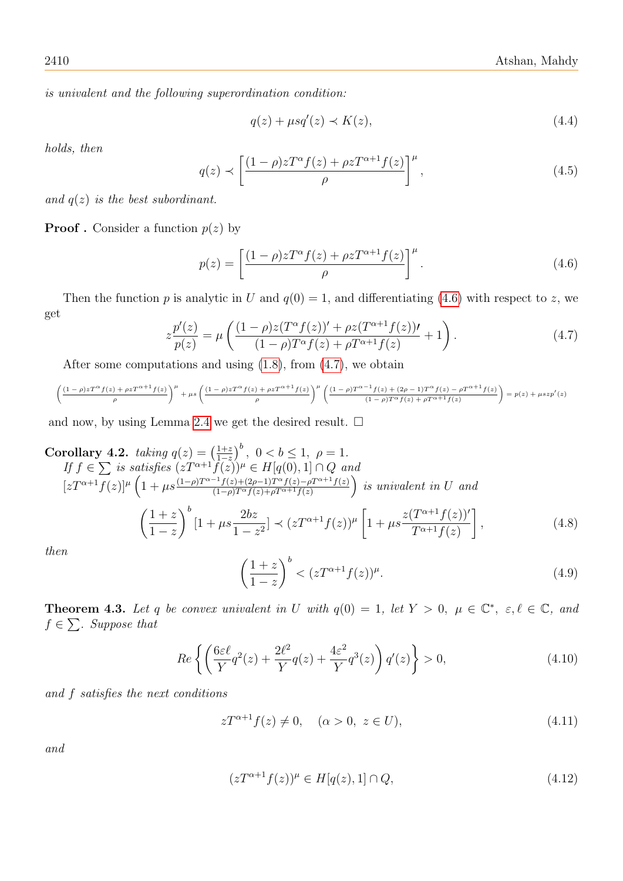is univalent and the following superordination condition:

$$
q(z) + \mu s q'(z) \prec K(z),\tag{4.4}
$$

holds, then

$$
q(z) \prec \left[\frac{(1-\rho)zT^{\alpha}f(z)+\rho zT^{\alpha+1}f(z)}{\rho}\right]^{\mu},\tag{4.5}
$$

and  $q(z)$  is the best subordinant.

**Proof** . Consider a function  $p(z)$  by

<span id="page-7-0"></span>
$$
p(z) = \left[\frac{(1-\rho)zT^{\alpha}f(z) + \rho zT^{\alpha+1}f(z)}{\rho}\right]^{\mu}.
$$
\n(4.6)

Then the function p is analytic in U and  $q(0) = 1$ , and differentiating [\(4.6\)](#page-7-0) with respect to z, we get

<span id="page-7-1"></span>
$$
z\frac{p'(z)}{p(z)} = \mu \left( \frac{(1-\rho)z(T^{\alpha}f(z))' + \rho z(T^{\alpha+1}f(z))'}{(1-\rho)T^{\alpha}f(z) + \rho T^{\alpha+1}f(z)} + 1 \right). \tag{4.7}
$$

After some computations and using [\(1.8\)](#page-2-1), from [\(4.7\)](#page-7-1), we obtain

$$
\left(\frac{(1-\rho)zT^{\alpha}f(z)+\rho zT^{\alpha+1}f(z)}{\rho}\right)^{\mu}+\mu s\left(\frac{(1-\rho)zT^{\alpha}f(z)+\rho zT^{\alpha+1}f(z)}{\rho}\right)^{\mu}\left(\frac{(1-\rho)T^{\alpha-1}f(z)+(2\rho-1)T^{\alpha}f(z)-\rho T^{\alpha+1}f(z)}{(1-\rho)T^{\alpha}f(z)+\rho T^{\alpha+1}f(z)}\right)=p(z)+\mu szp'(z)
$$

and now, by using Lemma [2.4](#page-3-5) we get the desired result.  $\square$ 

Corollary 4.2. taking 
$$
q(z) = \left(\frac{1+z}{1-z}\right)^b
$$
,  $0 < b \le 1$ ,  $\rho = 1$ .  
\nIf  $f \in \sum$  is satisfies  $(zT^{\alpha+1}f(z))^{\mu} \in H[q(0), 1] \cap Q$  and  
\n $[zT^{\alpha+1}f(z)]^{\mu} \left(1 + \mu s \frac{(1-\rho)T^{\alpha-1}f(z)+(2\rho-1)T^{\alpha}f(z)-\rho T^{\alpha+1}f(z)}{(1-\rho)T^{\alpha}f(z)+\rho T^{\alpha+1}f(z)}\right)$  is univalent in U and  
\n
$$
\left(\frac{1+z}{1-z}\right)^b \left[1 + \mu s \frac{2bz}{1-z^2}\right] \prec (zT^{\alpha+1}f(z))^{\mu} \left[1 + \mu s \frac{z(T^{\alpha+1}f(z))'}{T^{\alpha+1}f(z)}\right],
$$
\n(4.8)

then

$$
\left(\frac{1+z}{1-z}\right)^b < (zT^{\alpha+1}f(z))^\mu. \tag{4.9}
$$

<span id="page-7-2"></span>**Theorem 4.3.** Let q be convex univalent in U with  $q(0) = 1$ , let  $Y > 0$ ,  $\mu \in \mathbb{C}^*$ ,  $\varepsilon, \ell \in \mathbb{C}$ , and  $f \in \sum$ . Suppose that

$$
Re\left\{ \left( \frac{6\varepsilon\ell}{Y} q^2(z) + \frac{2\ell^2}{Y} q(z) + \frac{4\varepsilon^2}{Y} q^3(z) \right) q'(z) \right\} > 0,
$$
\n(4.10)

and f satisfies the next conditions

$$
zT^{\alpha+1}f(z) \neq 0, \quad (\alpha > 0, \ z \in U), \tag{4.11}
$$

and

$$
(zT^{\alpha+1}f(z))^{\mu} \in H[q(z), 1] \cap Q,
$$
\n(4.12)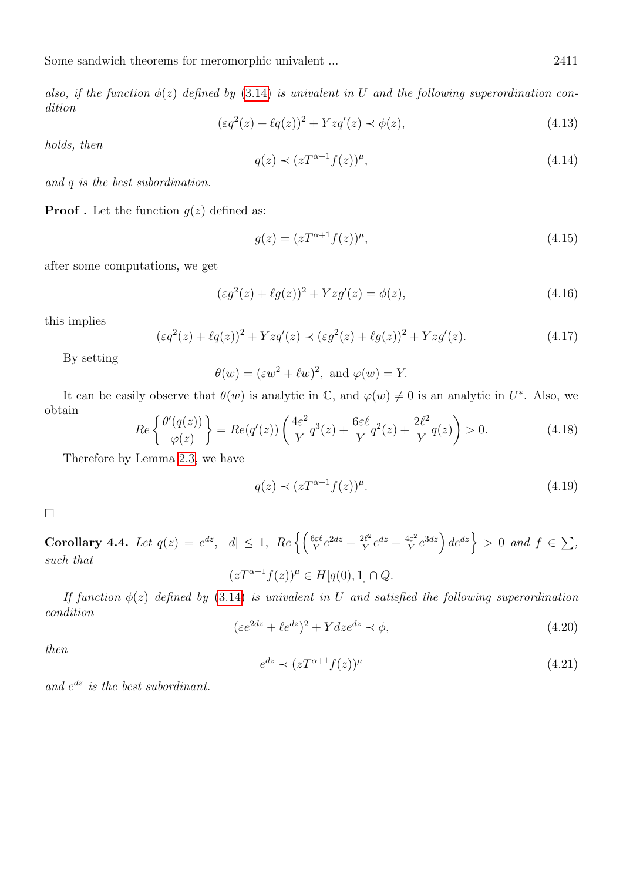also, if the function  $\phi(z)$  defined by [\(3.14\)](#page-5-4) is univalent in U and the following superordination condition

<span id="page-8-0"></span>
$$
(\varepsilon q^2(z) + \ell q(z))^2 + Yzq'(z) \prec \phi(z), \tag{4.13}
$$

holds, then

$$
q(z) \prec (zT^{\alpha+1}f(z))^{\mu},\tag{4.14}
$$

and q is the best subordination.

**Proof**. Let the function  $q(z)$  defined as:

$$
g(z) = (zT^{\alpha+1}f(z))^{\mu},
$$
\n(4.15)

after some computations, we get

$$
(\varepsilon g^2(z) + \ell g(z))^2 + Yzg'(z) = \phi(z),
$$
\n(4.16)

this implies

$$
(\varepsilon q^2(z) + \ell q(z))^2 + Yzq'(z) \prec (\varepsilon g^2(z) + \ell g(z))^2 + Yzg'(z). \tag{4.17}
$$

By setting

$$
\theta(w) = (\varepsilon w^2 + \ell w)^2
$$
, and  $\varphi(w) = Y$ .

It can be easily observe that  $\theta(w)$  is analytic in C, and  $\varphi(w) \neq 0$  is an analytic in U<sup>\*</sup>. Also, we obtain

$$
Re\left\{\frac{\theta'(q(z))}{\varphi(z)}\right\} = Re(q'(z))\left(\frac{4\varepsilon^2}{Y}q^3(z) + \frac{6\varepsilon\ell}{Y}q^2(z) + \frac{2\ell^2}{Y}q(z)\right) > 0.
$$
\n(4.18)

Therefore by Lemma [2.3,](#page-3-6) we have

$$
q(z) \prec (zT^{\alpha+1}f(z))^{\mu}.\tag{4.19}
$$

□

Corollary 4.4. Let  $q(z) = e^{dz}$ ,  $|d| \leq 1$ ,  $Re \left\{ \left( \frac{6\varepsilon \ell}{Y} e^{2dz} + \frac{2\ell^2}{Y} \right) \right\}$  $\frac{2\ell^2}{Y}e^{dz} + \frac{4\varepsilon^2}{Y}$  $\left\{\frac{d\varepsilon^2}{Y}e^{3dz}\right\}$  de<sup>dz</sup>  $\Big\} > 0$  and  $f \in \sum$ , such that  $(zT^{\alpha+1}f(z))^{\mu} \in H[q(0),1] \cap Q.$ 

If function  $\phi(z)$  defined by [\(3.14\)](#page-5-4) is univalent in U and satisfied the following superordination condition

$$
(\varepsilon e^{2dz} + \ell e^{dz})^2 + Ydze^{dz} \prec \phi,\tag{4.20}
$$

then

$$
e^{dz} \prec (zT^{\alpha+1}f(z))^{\mu} \tag{4.21}
$$

and  $e^{dz}$  is the best subordinant.